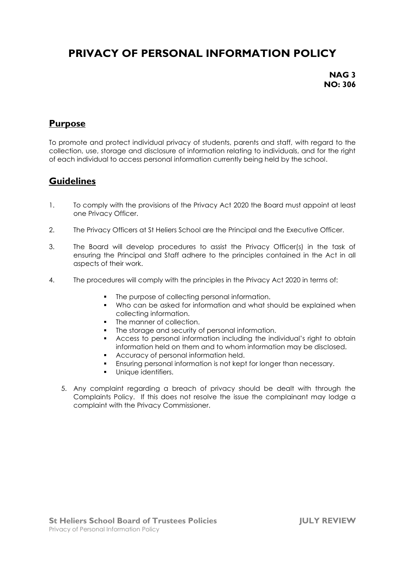# **PRIVACY OF PERSONAL INFORMATION POLICY**

**NAG 3 NO: 306**

#### **Purpose**

To promote and protect individual privacy of students, parents and staff, with regard to the collection, use, storage and disclosure of information relating to individuals, and for the right of each individual to access personal information currently being held by the school.

#### **Guidelines**

- 1. To comply with the provisions of the Privacy Act 2020 the Board must appoint at least one Privacy Officer.
- 2. The Privacy Officers at St Heliers School are the Principal and the Executive Officer.
- 3. The Board will develop procedures to assist the Privacy Officer(s) in the task of ensuring the Principal and Staff adhere to the principles contained in the Act in all aspects of their work.
- 4. The procedures will comply with the principles in the Privacy Act 2020 in terms of:
	- The purpose of collecting personal information.
	- Who can be asked for information and what should be explained when collecting information.
	- **•** The manner of collection.
	- The storage and security of personal information.
	- Access to personal information including the individual's right to obtain information held on them and to whom information may be disclosed.
	- Accuracy of personal information held.
	- Ensuring personal information is not kept for longer than necessary.
	- **■** Unique identifiers.
	- 5. Any complaint regarding a breach of privacy should be dealt with through the Complaints Policy. If this does not resolve the issue the complainant may lodge a complaint with the Privacy Commissioner.